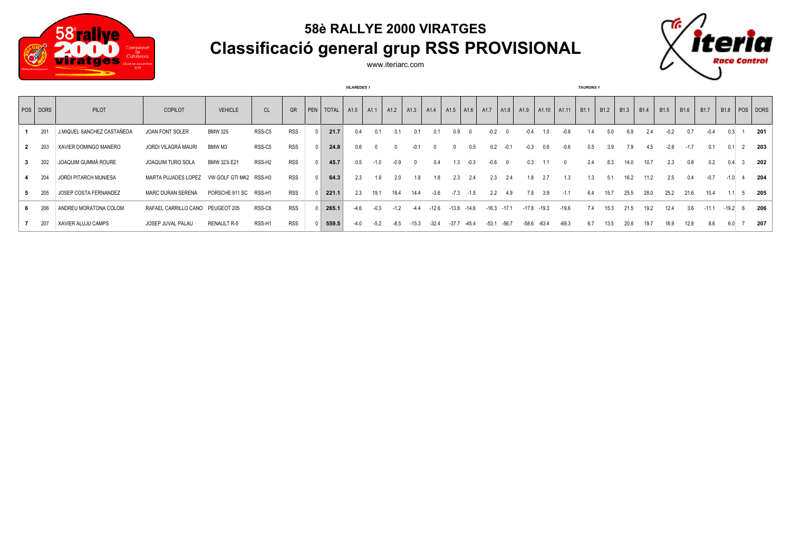

## **58è RALLYE 2000 VIRATGES Classificació general grup RSS PROVISIONAL**



www.iteriarc.com

|   |          |                            |                          |                        |                    |            |           | <b>VILAREDES 1</b> |                  |        |      |                |                                         |        |         |         |         |         |                         | <b>TAURONS 1</b> |                  |                  |                  |                  |                  |                  |         |                               |
|---|----------|----------------------------|--------------------------|------------------------|--------------------|------------|-----------|--------------------|------------------|--------|------|----------------|-----------------------------------------|--------|---------|---------|---------|---------|-------------------------|------------------|------------------|------------------|------------------|------------------|------------------|------------------|---------|-------------------------------|
|   | POS DORS | PILOT                      | COPILOT                  | <b>VEHICLE</b>         | CL                 | GR         | PEN TOTAL | A1.0               | A <sub>1.1</sub> | A1.2   | A1.3 |                | A1.4   A1.5   A1.6   A1.7   A1.8   A1.9 |        |         |         |         |         | $ $ A1.10 $ $ A1.11 $ $ | B <sub>1.1</sub> | B <sub>1.2</sub> | B <sub>1.3</sub> | B <sub>1.4</sub> | B <sub>1.5</sub> | B <sub>1.6</sub> | B <sub>1.7</sub> |         | B <sub>1.8</sub>   POS   DORS |
|   | 201      | J.MIQUEL SANCHEZ CASTAÑEDA | JOAN FONT SOLER          | <b>BMW 325</b>         | RSS-C5             | <b>RSS</b> | 21.7      | 0.4                | 0.1              | 0.1    |      | 0 <sub>1</sub> | 0.9                                     |        | $-0.2$  |         |         | 1.0     | $-0.8$                  | 1.4              | 5.0              | 6.9              | 2.4              | $-0.2$           | 0.7              | -0.4             |         | 201                           |
| 2 | - 203    | XAVIER DOMINGO MANERO      | JORDI VILAGRÀ MAURI      | BMW M3                 | RSS-C5             | <b>RSS</b> | 24.8      | 0.6                |                  |        |      |                |                                         | 0.5    | 0.2     | $-0.1$  | $-0.3$  | 0.6     | $-0.6$                  | 0.5              | 3.9              | 7.9              | 4.5              | $-2.8$           | $-1.7$           | 0.1              |         | 203                           |
|   | 202      | JOAQUIM GUMMÀ ROURE        | JOAQUIM TURO SOLA        | BMW 323i E21           | RSS-H <sub>2</sub> | <b>RSS</b> | 45.7      | 0.5                |                  | $-0.9$ |      | 04             |                                         | $-0.3$ | -0.6    |         | 0.3     |         |                         | 2.4              | 8.3              | 14.0             | 10.7             | 2.3              | 0.8              | 0.2              |         | 202                           |
|   | 204      | JORDI PITARCH MUNIESA      | MARTA PUJADES LOPEZ      | VW GOLF GTI MK2 RSS-H3 |                    | <b>RSS</b> | 64.3      | 2.3                | 1.9              | 2.0    |      |                | 2.3                                     | 2.4    | 2.3     | -2.4    | 1.8     | 2.7     | 1.3                     | 1.3              | $-5.1$           | 16.2             | 11.2             | 2.5              | 0.4              | $-0.7$           |         | 204                           |
|   | 205      | JOSEP COSTA FERNANDEZ      | <b>MARC DURAN SERENA</b> | PORSCHE 911 SC         | RSS-H1             | <b>RSS</b> | 221.1     | 2.3                | 19.1             | 18.4   | 14.4 | $-3.6$         | $-7.3$                                  | $-1.5$ | 2.2     | 4.9     | 7.8     | 3.9     | $-1.1$                  | 6.4              | 15.7             | 25.5             | 28.0             | 25.2             | 21.6             | 10.4             |         | 205                           |
|   | 206      | ANDREU MORATONA COLOM      | RAFAEL CARRILLO CANO     | PEUGEOT 205            | RSS-C6             | <b>RSS</b> | 265.1     | $-4.6$             | $-0.3$           | $-1.2$ | -44  | -12.6          | $-13.8 - 14.6$                          |        | $-16.3$ | $-17.1$ | -17.8   | $-19.3$ | $-19.6$                 | 7.4              | 15.3             | 21.5             | 19.2             | 12.4             | 3.6              | $-11.1$          | $-19.2$ | 206                           |
|   | 207      | XAVIER ALUJU CAMPS         | JOSEP JUVAL PALAU        | <b>RENAULT R-5</b>     | RSS-H1             | <b>RSS</b> | 559.5     |                    | -52              |        |      | $-324$         | -37.7                                   | $-454$ | $-53.1$ | $-56.7$ | $-58.6$ | $-63.4$ | $-69.3$                 | 6.7              | 13.5             | 20.8             | 19.7             | 16.9             | 12.8             | 8.6              |         | 207                           |